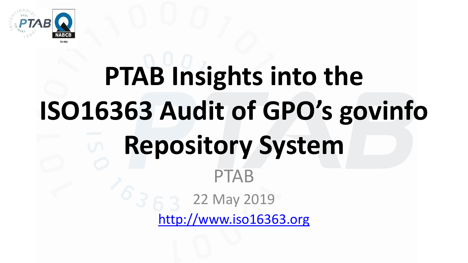

# **PTAB Insights into the ISO16363 Audit of GPO's govinfo Repository System** PTAB 22 May 2019

[http://www.iso16363.org](http://www.iso16363.org/)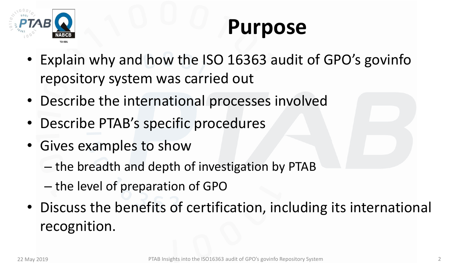

#### **Purpose**

- Explain why and how the ISO 16363 audit of GPO's govinfo repository system was carried out
- Describe the international processes involved
- Describe PTAB's specific procedures
- Gives examples to show
	- the breadth and depth of investigation by PTAB
	- the level of preparation of GPO
- Discuss the benefits of certification, including its international recognition.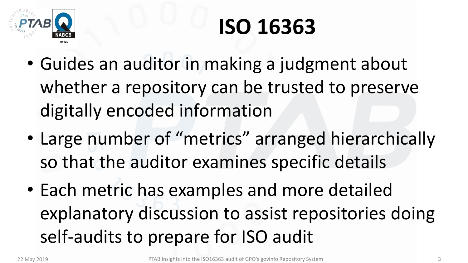

#### **ISO 16363**

- Guides an auditor in making a judgment about whether a repository can be trusted to preserve digitally encoded information
- Large number of "metrics" arranged hierarchically so that the auditor examines specific details
- Each metric has examples and more detailed explanatory discussion to assist repositories doing self-audits to prepare for ISO audit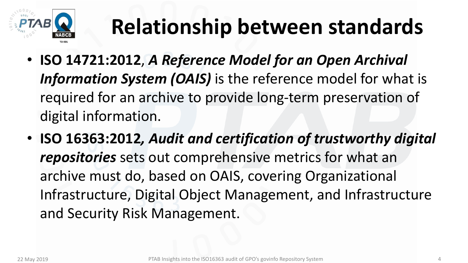

## **Relationship between standards**

- **ISO 14721:2012**, *A Reference Model for an Open Archival Information System (OAIS)* is the reference model for what is required for an archive to provide long-term preservation of digital information.
- **ISO 16363:2012***, Audit and certification of trustworthy digital repositories* sets out comprehensive metrics for what an archive must do, based on OAIS, covering Organizational Infrastructure, Digital Object Management, and Infrastructure and Security Risk Management.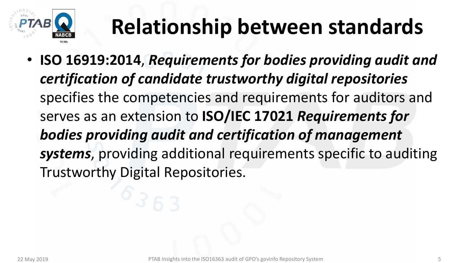

## **Relationship between standards**

• **ISO 16919:2014**, *Requirements for bodies providing audit and certification of candidate trustworthy digital repositories*  specifies the competencies and requirements for auditors and serves as an extension to **ISO/IEC 17021** *Requirements for bodies providing audit and certification of management systems*, providing additional requirements specific to auditing Trustworthy Digital Repositories.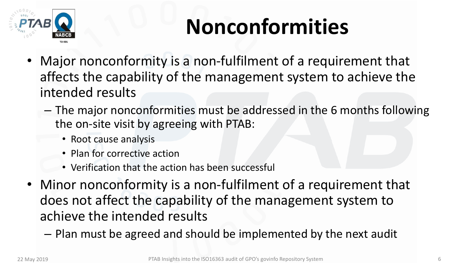

## **Nonconformities**

- Major nonconformity is a non-fulfilment of a requirement that affects the capability of the management system to achieve the intended results
	- The major nonconformities must be addressed in the 6 months following the on-site visit by agreeing with PTAB:
		- Root cause analysis
		- Plan for corrective action
		- Verification that the action has been successful
- Minor nonconformity is a non-fulfilment of a requirement that does not affect the capability of the management system to achieve the intended results
	- Plan must be agreed and should be implemented by the next audit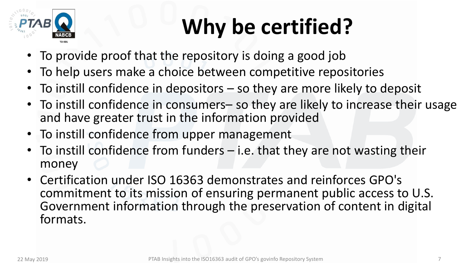

## **Why be certified?**

- To provide proof that the repository is doing a good job
- To help users make a choice between competitive repositories
- To instill confidence in depositors so they are more likely to deposit
- To instill confidence in consumers- so they are likely to increase their usage and have greater trust in the information provided
- To instill confidence from upper management
- To instill confidence from funders  $-$  i.e. that they are not wasting their money
- Certification under ISO 16363 demonstrates and reinforces GPO's commitment to its mission of ensuring permanent public access to U.S. Government information through the preservation of content in digital formats.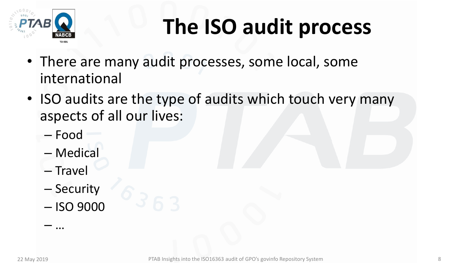

#### **The ISO audit process**

- There are many audit processes, some local, some international
- ISO audits are the type of audits which touch very many aspects of all our lives:
	- Food
	- Medical
	- Travel

– …

- Security
- ISO 9000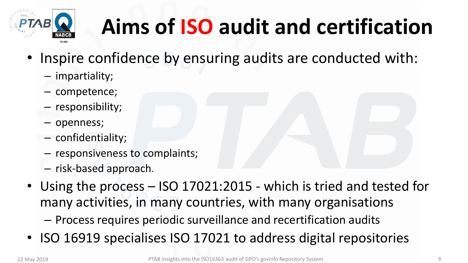

## **Aims of ISO audit and certification**

- Inspire confidence by ensuring audits are conducted with:
	- impartiality;
	- competence;
	- responsibility;
	- openness;
	- confidentiality;
	- responsiveness to complaints;
	- risk-based approach.
- Using the process ISO 17021:2015 which is tried and tested for many activities, in many countries, with many organisations – Process requires periodic surveillance and recertification audits
- ISO 16919 specialises ISO 17021 to address digital repositories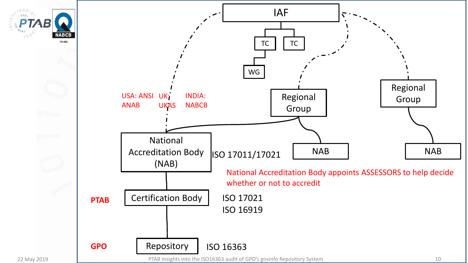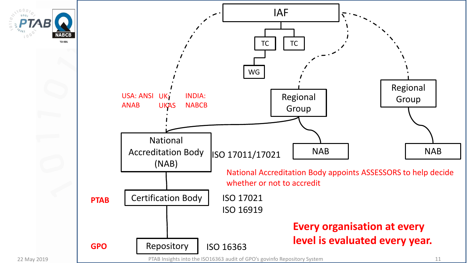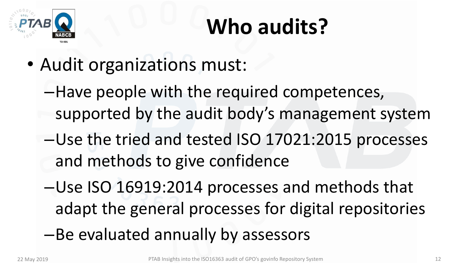

## **Who audits?**

- Audit organizations must:
	- –Have people with the required competences, supported by the audit body's management system
	- –Use the tried and tested ISO 17021:2015 processes and methods to give confidence
	- –Use ISO 16919:2014 processes and methods that adapt the general processes for digital repositories
	- –Be evaluated annually by assessors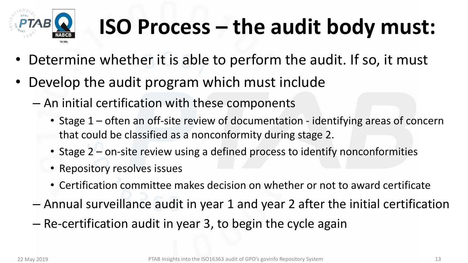

## **ISO Process – the audit body must:**

- Determine whether it is able to perform the audit. If so, it must
- Develop the audit program which must include
	- An initial certification with these components
		- Stage 1 often an off-site review of documentation identifying areas of concern that could be classified as a nonconformity during stage 2.
		- Stage 2 on-site review using a defined process to identify nonconformities
		- Repository resolves issues
		- Certification committee makes decision on whether or not to award certificate
	- Annual surveillance audit in year 1 and year 2 after the initial certification
	- Re-certification audit in year 3, to begin the cycle again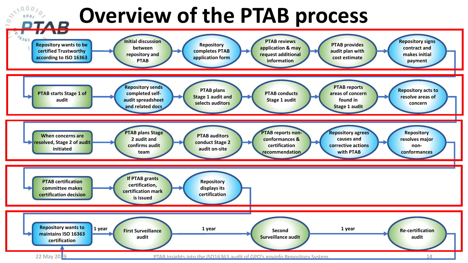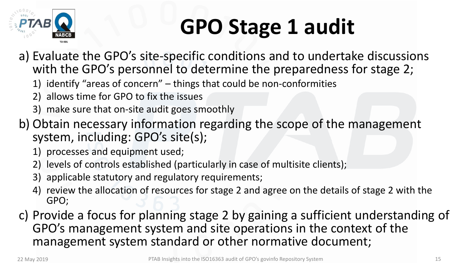

## **GPO Stage 1 audit**

- a) Evaluate the GPO's site-specific conditions and to undertake discussions with the GPO's personnel to determine the preparedness for stage 2;
	- 1) identify "areas of concern" things that could be non-conformities
	- 2) allows time for GPO to fix the issues
	- 3) make sure that on-site audit goes smoothly
- b) Obtain necessary information regarding the scope of the management system, including: GPO's site(s);
	- 1) processes and equipment used;
	- 2) levels of controls established (particularly in case of multisite clients);
	- 3) applicable statutory and regulatory requirements;
	- 4) review the allocation of resources for stage 2 and agree on the details of stage 2 with the GPO;
- c) Provide a focus for planning stage 2 by gaining a sufficient understanding of GPO's management system and site operations in the context of the management system standard or other normative document;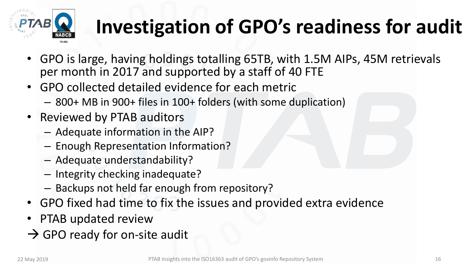

#### **Investigation of GPO's readiness for audit**

- GPO is large, having holdings totalling 65TB, with 1.5M AIPs, 45M retrievals per month in 2017 and supported by a staff of 40 FTE
- GPO collected detailed evidence for each metric
	- 800+ MB in 900+ files in 100+ folders (with some duplication)
- Reviewed by PTAB auditors
	- Adequate information in the AIP?
	- Enough Representation Information?
	- Adequate understandability?
	- Integrity checking inadequate?
	- Backups not held far enough from repository?
- GPO fixed had time to fix the issues and provided extra evidence
- PTAB updated review
- $\rightarrow$  GPO ready for on-site audit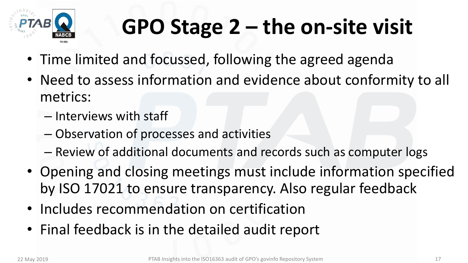

## **GPO Stage 2 – the on-site visit**

- Time limited and focussed, following the agreed agenda
- Need to assess information and evidence about conformity to all metrics:
	- Interviews with staff
	- Observation of processes and activities
	- Review of additional documents and records such as computer logs
- Opening and closing meetings must include information specified by ISO 17021 to ensure transparency. Also regular feedback
- Includes recommendation on certification
- Final feedback is in the detailed audit report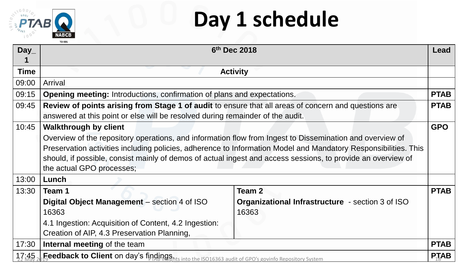

#### **Day 1 schedule**

| Day         | 6 <sup>th</sup> Dec 2018                                                                                                                                                                                                                                                                                                                                                                                               |                                                                  | Lead                                  |
|-------------|------------------------------------------------------------------------------------------------------------------------------------------------------------------------------------------------------------------------------------------------------------------------------------------------------------------------------------------------------------------------------------------------------------------------|------------------------------------------------------------------|---------------------------------------|
| <b>Time</b> | <b>Activity</b>                                                                                                                                                                                                                                                                                                                                                                                                        |                                                                  |                                       |
| 09:00       | <b>Arrival</b>                                                                                                                                                                                                                                                                                                                                                                                                         |                                                                  |                                       |
| 09:15       | <b>Opening meeting:</b> Introductions, confirmation of plans and expectations.                                                                                                                                                                                                                                                                                                                                         |                                                                  |                                       |
| 09:45       | Review of points arising from Stage 1 of audit to ensure that all areas of concern and questions are<br><b>PTAB</b><br>answered at this point or else will be resolved during remainder of the audit.                                                                                                                                                                                                                  |                                                                  |                                       |
| 10:45       | <b>GPO</b><br><b>Walkthrough by client</b><br>Overview of the repository operations, and information flow from Ingest to Dissemination and overview of<br>Preservation activities including policies, adherence to Information Model and Mandatory Responsibilities. This<br>should, if possible, consist mainly of demos of actual ingest and access sessions, to provide an overview of<br>the actual GPO processes; |                                                                  |                                       |
| 13:00       | Lunch                                                                                                                                                                                                                                                                                                                                                                                                                  |                                                                  |                                       |
| 13:30       | Team 1                                                                                                                                                                                                                                                                                                                                                                                                                 | Team 2                                                           | <b>PTAB</b>                           |
|             | Digital Object Management - section 4 of ISO<br>16363                                                                                                                                                                                                                                                                                                                                                                  | <b>Organizational Infrastructure</b> - section 3 of ISO<br>16363 |                                       |
|             | 4.1 Ingestion: Acquisition of Content, 4.2 Ingestion:                                                                                                                                                                                                                                                                                                                                                                  |                                                                  |                                       |
|             | Creation of AIP, 4.3 Preservation Planning,                                                                                                                                                                                                                                                                                                                                                                            |                                                                  |                                       |
| 17:30       | Internal meeting of the team                                                                                                                                                                                                                                                                                                                                                                                           |                                                                  | <b>PTAB</b><br>$P_1$ <b><i>AB</i></b> |
| 17.45       | Feedback to Client on day's findings hts into the ISO16363 audit of GPO's govinfo Repository System                                                                                                                                                                                                                                                                                                                    |                                                                  |                                       |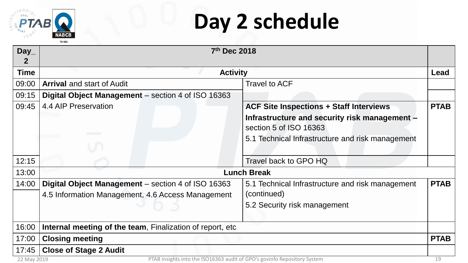

#### **Day 2 schedule**

| Day_         | 7th Dec 2018                                                                            |                                                  |             |
|--------------|-----------------------------------------------------------------------------------------|--------------------------------------------------|-------------|
| $\mathbf{2}$ |                                                                                         |                                                  |             |
| <b>Time</b>  |                                                                                         | <b>Activity</b>                                  |             |
| 09:00        | <b>Arrival</b> and start of Audit                                                       | <b>Travel to ACF</b>                             |             |
| 09:15        | Digital Object Management – section 4 of ISO 16363                                      |                                                  |             |
| 09:45        | 4.4 AIP Preservation                                                                    | <b>ACF Site Inspections + Staff Interviews</b>   | <b>PTAB</b> |
|              |                                                                                         | Infrastructure and security risk management -    |             |
|              |                                                                                         | section 5 of ISO 16363                           |             |
|              |                                                                                         | 5.1 Technical Infrastructure and risk management |             |
|              |                                                                                         |                                                  |             |
| 12:15        |                                                                                         | Travel back to GPO HQ                            |             |
| 13:00        | <b>Lunch Break</b>                                                                      |                                                  |             |
| 14:00        | Digital Object Management – section 4 of ISO 16363                                      | 5.1 Technical Infrastructure and risk management | <b>PTAB</b> |
|              | 4.5 Information Management, 4.6 Access Management                                       | (continued)                                      |             |
|              |                                                                                         | 5.2 Security risk management                     |             |
|              |                                                                                         |                                                  |             |
| 16:00        | Internal meeting of the team, Finalization of report, etc.                              |                                                  |             |
| 17:00        | <b>Closing meeting</b>                                                                  |                                                  | <b>PTAB</b> |
| 17:45        | <b>Close of Stage 2 Audit</b>                                                           |                                                  |             |
|              | PTAB Insights into the ISO16363 audit of GPO's govinfo Repository System<br>22 May 2019 |                                                  |             |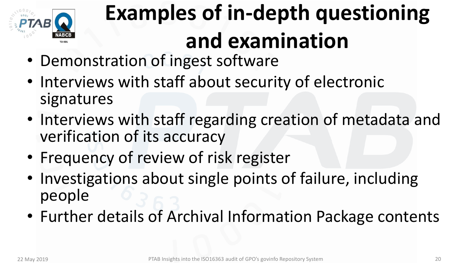

# **Examples of in-depth questioning and examination**

- Demonstration of ingest software
- Interviews with staff about security of electronic signatures
- Interviews with staff regarding creation of metadata and verification of its accuracy
- Frequency of review of risk register
- Investigations about single points of failure, including people
- Further details of Archival Information Package contents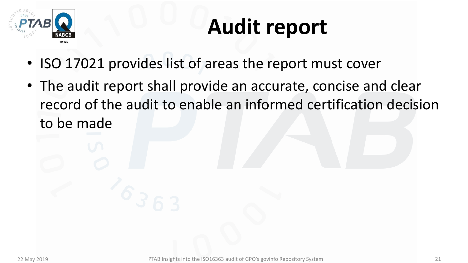

#### **Audit report**

- ISO 17021 provides list of areas the report must cover
- The audit report shall provide an accurate, concise and clear record of the audit to enable an informed certification decision to be made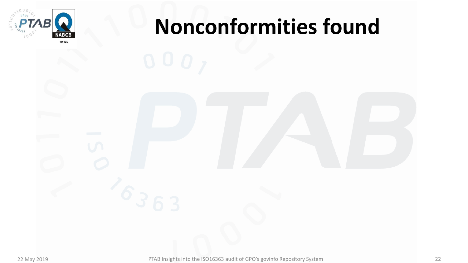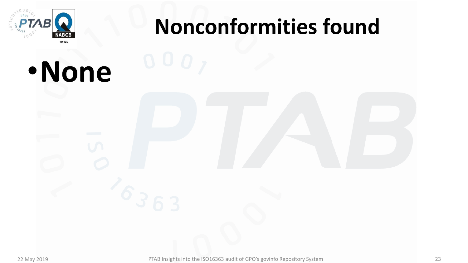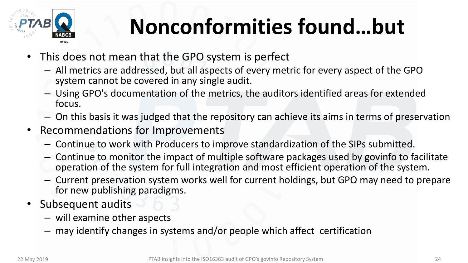

## **Nonconformities found…but**

- This does not mean that the GPO system is perfect
	- All metrics are addressed, but all aspects of every metric for every aspect of the GPO system cannot be covered in any single audit.
	- Using GPO's documentation of the metrics, the auditors identified areas for extended focus.
	- On this basis it was judged that the repository can achieve its aims in terms of preservation
- Recommendations for Improvements
	- Continue to work with Producers to improve standardization of the SIPs submitted.
	- Continue to monitor the impact of multiple software packages used by govinfo to facilitate operation of the system for full integration and most efficient operation of the system.
	- Current preservation system works well for current holdings, but GPO may need to prepare for new publishing paradigms.
- Subsequent audits
	- will examine other aspects
	- may identify changes in systems and/or people which affect certification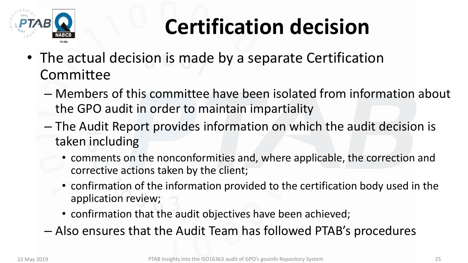

## **Certification decision**

- The actual decision is made by a separate Certification Committee
	- Members of this committee have been isolated from information about the GPO audit in order to maintain impartiality
	- The Audit Report provides information on which the audit decision is taken including
		- comments on the nonconformities and, where applicable, the correction and corrective actions taken by the client;
		- confirmation of the information provided to the certification body used in the application review;
		- confirmation that the audit objectives have been achieved;
	- Also ensures that the Audit Team has followed PTAB's procedures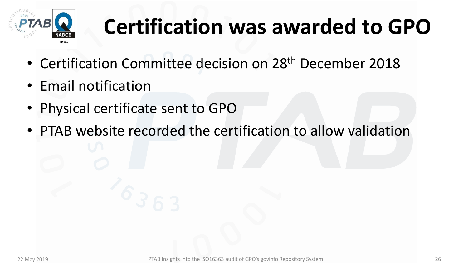

#### **Certification was awarded to GPO**

- Certification Committee decision on 28<sup>th</sup> December 2018
- Email notification
- Physical certificate sent to GPO
- PTAB website recorded the certification to allow validation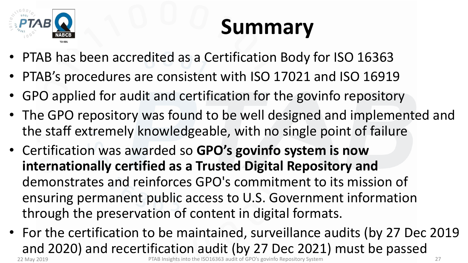

#### **Summary**

- PTAB has been accredited as a Certification Body for ISO 16363
- PTAB's procedures are consistent with ISO 17021 and ISO 16919
- GPO applied for audit and certification for the govinfo repository
- The GPO repository was found to be well designed and implemented and the staff extremely knowledgeable, with no single point of failure
- Certification was awarded so **GPO's govinfo system is now internationally certified as a Trusted Digital Repository and**  demonstrates and reinforces GPO's commitment to its mission of ensuring permanent public access to U.S. Government information through the preservation of content in digital formats.
- For the certification to be maintained, surveillance audits (by 27 Dec 2019 and 2020) and recertification audit (by 27 Dec 2021) must be passed<br>pridit listing this into the ISO16363 audit of GPO's govinfo Repository System 22 May 2019 **PTAB Insights into the ISO16363 audit of GPO's govinfo Repository System** 27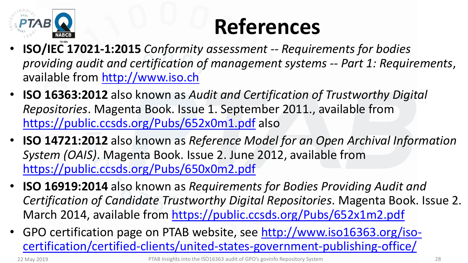

#### **References**

- **ISO/IEC 17021-1:2015** *Conformity assessment -- Requirements for bodies providing audit and certification of management systems -- Part 1: Requirements*, available from [http://www.iso.ch](http://www.iso.ch/)
- **ISO 16363:2012** also known as *Audit and Certification of Trustworthy Digital Repositories*. Magenta Book. Issue 1. September 2011., available from <https://public.ccsds.org/Pubs/652x0m1.pdf> also
- **ISO 14721:2012** also known as *Reference Model for an Open Archival Information System (OAIS)*. Magenta Book. Issue 2. June 2012, available from <https://public.ccsds.org/Pubs/650x0m2.pdf>
- **ISO 16919:2014** also known as *Requirements for Bodies Providing Audit and Certification of Candidate Trustworthy Digital Repositories*. Magenta Book. Issue 2. March 2014, available from <https://public.ccsds.org/Pubs/652x1m2.pdf>
- [GPO certification page on PTAB website, see http://www.iso16363.org/iso](http://www.iso16363.org/iso-certification/certified-clients/united-states-government-publishing-office/)certification/certified-clients/united-states-government-publishing-office/